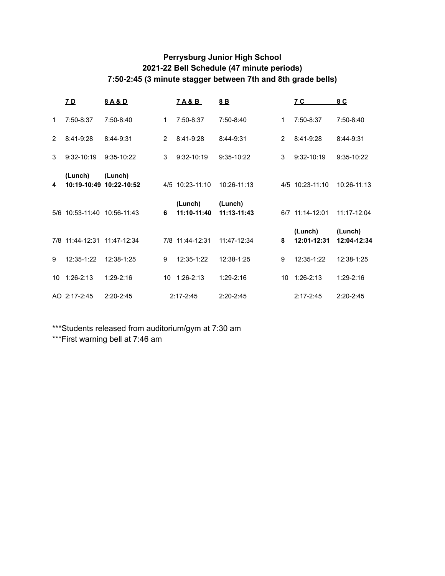## **Perrysburg Junior High School 2021-22 Bell Schedule (47 minute periods) 7:50-2:45 (3 minute stagger between 7th and 8th grade bells)**

|             | <u>7 D</u>                  | 8A&D                               |                | <u>7A&amp;B</u>        | 8B                       |                | <u>7 C</u>             | 8 C                    |
|-------------|-----------------------------|------------------------------------|----------------|------------------------|--------------------------|----------------|------------------------|------------------------|
| $\mathbf 1$ | 7:50-8:37                   | 7:50-8:40                          | 1              | 7:50-8:37              | $7:50-8:40$              | $\mathbf{1}$   | 7:50-8:37              | $7:50-8:40$            |
| 2           | 8:41-9:28                   | 8:44-9:31                          | $\overline{2}$ | 8:41-9:28              | 8:44-9:31                | $\overline{2}$ | 8:41-9:28              | 8:44-9:31              |
| 3           | 9:32-10:19                  | 9:35-10:22                         | 3              | $9:32-10:19$           | 9:35-10:22               | 3              | $9:32 - 10:19$         | $9:35-10:22$           |
| 4           | (Lunch)                     | (Lunch)<br>10:19-10:49 10:22-10:52 |                | 4/5 10:23-11:10        | $10:26 - 11:13$          |                | 4/5 10:23-11:10        | $10:26 - 11:13$        |
| 5/6         | 10:53-11:40                 | 10:56-11:43                        | 6              | (Lunch)<br>11:10-11:40 | (Lunch)<br>$11:13-11:43$ |                | 6/7 11:14-12:01        | $11:17 - 12:04$        |
|             | 7/8 11:44-12:31 11:47-12:34 |                                    |                | 7/8 11:44-12:31        | 11:47-12:34              | 8              | (Lunch)<br>12:01-12:31 | (Lunch)<br>12:04-12:34 |
| 9           | 12:35-1:22                  | 12:38-1:25                         | 9              | 12:35-1:22             | 12:38-1:25               | 9              | 12:35-1:22             | 12:38-1:25             |
| 10          | $1:26-2:13$                 | $1:29-2:16$                        | 10             | $1:26-2:13$            | $1:29-2:16$              | 10             | $1:26-2:13$            | $1:29-2:16$            |
|             |                             |                                    |                |                        |                          |                |                        |                        |

\*\*\*Students released from auditorium/gym at 7:30 am

\*\*\*First warning bell at 7:46 am